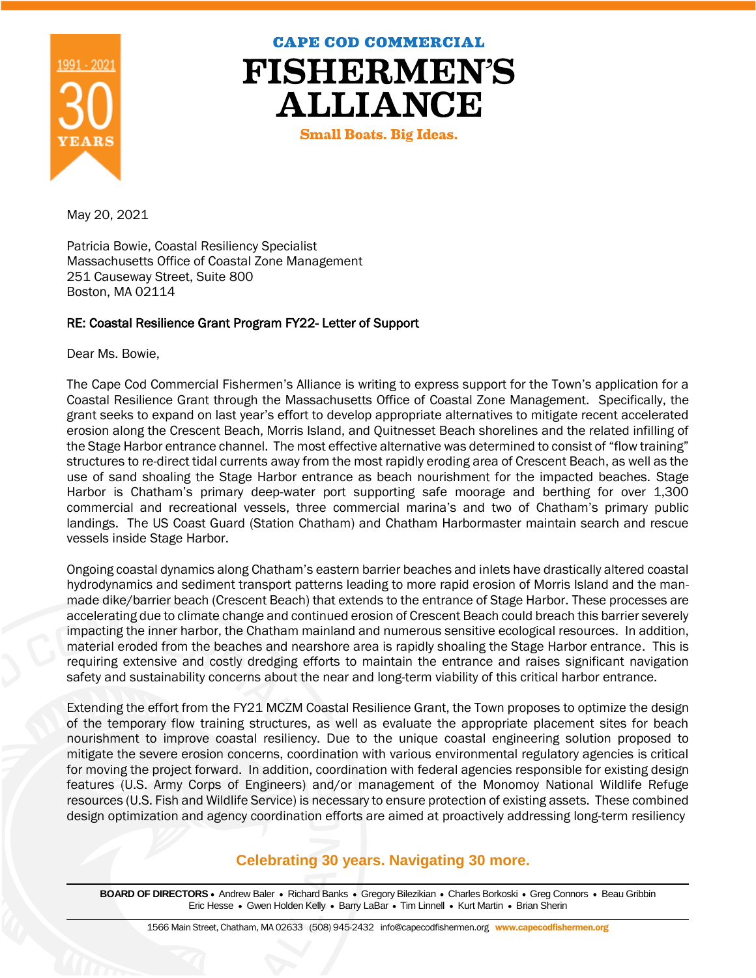

**CAPE COD COMMERCIAL** 

**FISHERMEN'S ALLIANCE** 

**Small Boats. Big Ideas.** 

May 20, 2021

Patricia Bowie, Coastal Resiliency Specialist Massachusetts Office of Coastal Zone Management 251 Causeway Street, Suite 800 Boston, MA 02114

## RE: Coastal Resilience Grant Program FY22- Letter of Support

Dear Ms. Bowie,

The Cape Cod Commercial Fishermen's Alliance is writing to express support for the Town's application for a Coastal Resilience Grant through the Massachusetts Office of Coastal Zone Management. Specifically, the grant seeks to expand on last year's effort to develop appropriate alternatives to mitigate recent accelerated erosion along the Crescent Beach, Morris Island, and Quitnesset Beach shorelines and the related infilling of the Stage Harbor entrance channel. The most effective alternative was determined to consist of "flow training" structures to re-direct tidal currents away from the most rapidly eroding area of Crescent Beach, as well as the use of sand shoaling the Stage Harbor entrance as beach nourishment for the impacted beaches. Stage Harbor is Chatham's primary deep-water port supporting safe moorage and berthing for over 1,300 commercial and recreational vessels, three commercial marina's and two of Chatham's primary public landings. The US Coast Guard (Station Chatham) and Chatham Harbormaster maintain search and rescue vessels inside Stage Harbor.

Ongoing coastal dynamics along Chatham's eastern barrier beaches and inlets have drastically altered coastal hydrodynamics and sediment transport patterns leading to more rapid erosion of Morris Island and the manmade dike/barrier beach (Crescent Beach) that extends to the entrance of Stage Harbor. These processes are accelerating due to climate change and continued erosion of Crescent Beach could breach this barrier severely impacting the inner harbor, the Chatham mainland and numerous sensitive ecological resources. In addition, material eroded from the beaches and nearshore area is rapidly shoaling the Stage Harbor entrance. This is requiring extensive and costly dredging efforts to maintain the entrance and raises significant navigation safety and sustainability concerns about the near and long-term viability of this critical harbor entrance.

Extending the effort from the FY21 MCZM Coastal Resilience Grant, the Town proposes to optimize the design of the temporary flow training structures, as well as evaluate the appropriate placement sites for beach nourishment to improve coastal resiliency. Due to the unique coastal engineering solution proposed to mitigate the severe erosion concerns, coordination with various environmental regulatory agencies is critical for moving the project forward. In addition, coordination with federal agencies responsible for existing design features (U.S. Army Corps of Engineers) and/or management of the Monomoy National Wildlife Refuge resources (U.S. Fish and Wildlife Service) is necessary to ensure protection of existing assets. These combined design optimization and agency coordination efforts are aimed at proactively addressing long-term resiliency

## **Celebrating 30 years. Navigating 30 more.**

BOARD OF DIRECTORS · Andrew Baler · Richard Banks · Gregory Bilezikian · Charles Borkoski · Greg Connors · Beau Gribbin Eric Hesse • Gwen Holden Kelly • Barry LaBar • Tim Linnell • Kurt Martin • Brian Sherin